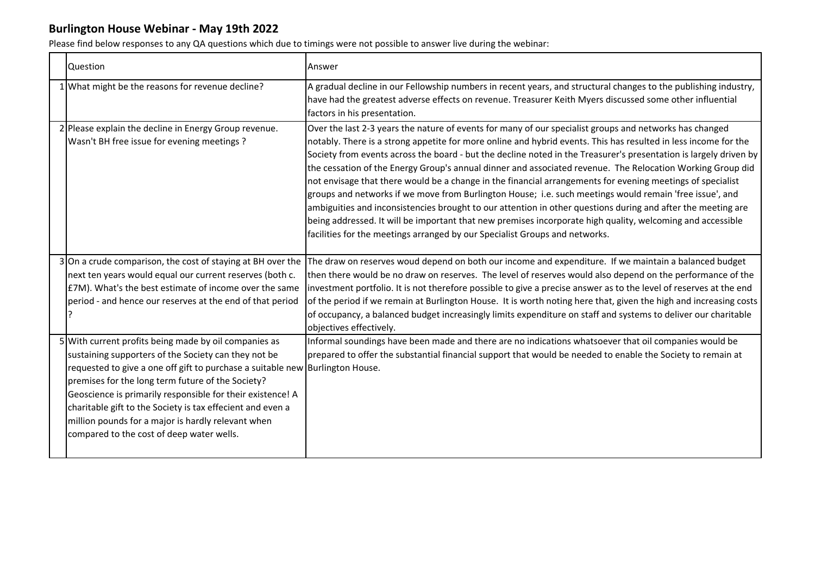| <b>Question</b>                                                                                                                                                                                                                                                                                                                                                                                                                                                                    | Answer                                                                                                                                                                                                                                                                                                                                                                                                                                                                                                                                                                                                                                                                                                                                                                                                                                                                                                                                                                                              |
|------------------------------------------------------------------------------------------------------------------------------------------------------------------------------------------------------------------------------------------------------------------------------------------------------------------------------------------------------------------------------------------------------------------------------------------------------------------------------------|-----------------------------------------------------------------------------------------------------------------------------------------------------------------------------------------------------------------------------------------------------------------------------------------------------------------------------------------------------------------------------------------------------------------------------------------------------------------------------------------------------------------------------------------------------------------------------------------------------------------------------------------------------------------------------------------------------------------------------------------------------------------------------------------------------------------------------------------------------------------------------------------------------------------------------------------------------------------------------------------------------|
| 1 What might be the reasons for revenue decline?                                                                                                                                                                                                                                                                                                                                                                                                                                   | A gradual decline in our Fellowship numbers in recent years, and structural changes to the publishing industry,<br>have had the greatest adverse effects on revenue. Treasurer Keith Myers discussed some other influential<br>factors in his presentation.                                                                                                                                                                                                                                                                                                                                                                                                                                                                                                                                                                                                                                                                                                                                         |
| 2 Please explain the decline in Energy Group revenue.<br>Wasn't BH free issue for evening meetings ?                                                                                                                                                                                                                                                                                                                                                                               | Over the last 2-3 years the nature of events for many of our specialist groups and networks has changed<br>notably. There is a strong appetite for more online and hybrid events. This has resulted in less income for the<br>Society from events across the board - but the decline noted in the Treasurer's presentation is largely driven by<br>the cessation of the Energy Group's annual dinner and associated revenue. The Relocation Working Group did<br>not envisage that there would be a change in the financial arrangements for evening meetings of specialist<br>groups and networks if we move from Burlington House; i.e. such meetings would remain 'free issue', and<br>ambiguities and inconsistencies brought to our attention in other questions during and after the meeting are<br>being addressed. It will be important that new premises incorporate high quality, welcoming and accessible<br>facilities for the meetings arranged by our Specialist Groups and networks. |
| 3 On a crude comparison, the cost of staying at BH over the<br>next ten years would equal our current reserves (both c.<br>£7M). What's the best estimate of income over the same<br>period - and hence our reserves at the end of that period                                                                                                                                                                                                                                     | The draw on reserves woud depend on both our income and expenditure. If we maintain a balanced budget<br>then there would be no draw on reserves. The level of reserves would also depend on the performance of the<br>investment portfolio. It is not therefore possible to give a precise answer as to the level of reserves at the end<br>of the period if we remain at Burlington House. It is worth noting here that, given the high and increasing costs<br>of occupancy, a balanced budget increasingly limits expenditure on staff and systems to deliver our charitable<br>objectives effectively.                                                                                                                                                                                                                                                                                                                                                                                         |
| 5 With current profits being made by oil companies as<br>sustaining supporters of the Society can they not be<br>requested to give a one off gift to purchase a suitable new Burlington House.<br>premises for the long term future of the Society?<br>Geoscience is primarily responsible for their existence! A<br>charitable gift to the Society is tax effecient and even a<br>million pounds for a major is hardly relevant when<br>compared to the cost of deep water wells. | Informal soundings have been made and there are no indications whatsoever that oil companies would be<br>prepared to offer the substantial financial support that would be needed to enable the Society to remain at                                                                                                                                                                                                                                                                                                                                                                                                                                                                                                                                                                                                                                                                                                                                                                                |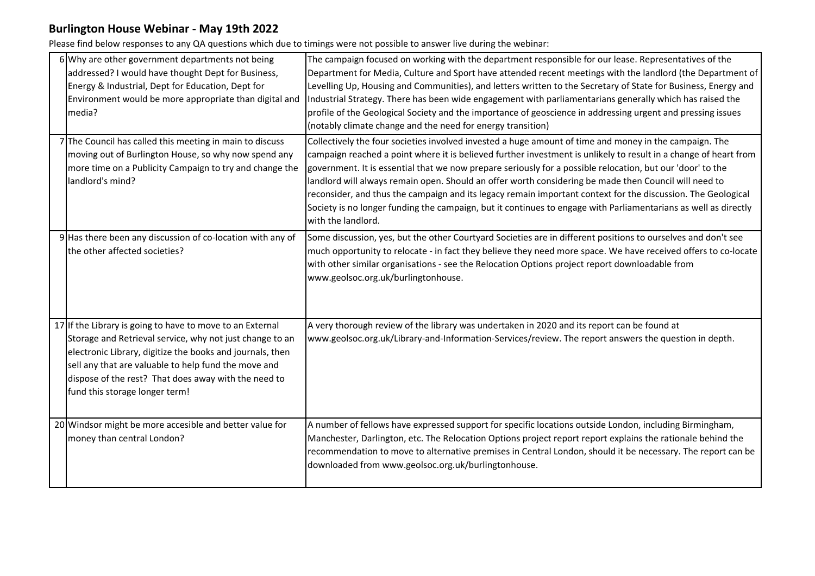| 6 Why are other government departments not being                                                                                                                                                                                                                                                                                     | The campaign focused on working with the department responsible for our lease. Representatives of the                                                                                                                                                                                                                                                                                                                                             |
|--------------------------------------------------------------------------------------------------------------------------------------------------------------------------------------------------------------------------------------------------------------------------------------------------------------------------------------|---------------------------------------------------------------------------------------------------------------------------------------------------------------------------------------------------------------------------------------------------------------------------------------------------------------------------------------------------------------------------------------------------------------------------------------------------|
| addressed? I would have thought Dept for Business,                                                                                                                                                                                                                                                                                   | Department for Media, Culture and Sport have attended recent meetings with the landlord (the Department of                                                                                                                                                                                                                                                                                                                                        |
| Energy & Industrial, Dept for Education, Dept for                                                                                                                                                                                                                                                                                    | Levelling Up, Housing and Communities), and letters written to the Secretary of State for Business, Energy and                                                                                                                                                                                                                                                                                                                                    |
| Environment would be more appropriate than digital and                                                                                                                                                                                                                                                                               | Industrial Strategy. There has been wide engagement with parliamentarians generally which has raised the                                                                                                                                                                                                                                                                                                                                          |
| media?                                                                                                                                                                                                                                                                                                                               | profile of the Geological Society and the importance of geoscience in addressing urgent and pressing issues                                                                                                                                                                                                                                                                                                                                       |
|                                                                                                                                                                                                                                                                                                                                      | (notably climate change and the need for energy transition)                                                                                                                                                                                                                                                                                                                                                                                       |
| 7The Council has called this meeting in main to discuss<br>moving out of Burlington House, so why now spend any<br>more time on a Publicity Campaign to try and change the<br>landlord's mind?                                                                                                                                       | Collectively the four societies involved invested a huge amount of time and money in the campaign. The<br>campaign reached a point where it is believed further investment is unlikely to result in a change of heart from<br>government. It is essential that we now prepare seriously for a possible relocation, but our 'door' to the<br>landlord will always remain open. Should an offer worth considering be made then Council will need to |
|                                                                                                                                                                                                                                                                                                                                      | reconsider, and thus the campaign and its legacy remain important context for the discussion. The Geological<br>Society is no longer funding the campaign, but it continues to engage with Parliamentarians as well as directly<br>with the landlord.                                                                                                                                                                                             |
| 9 Has there been any discussion of co-location with any of<br>the other affected societies?                                                                                                                                                                                                                                          | Some discussion, yes, but the other Courtyard Societies are in different positions to ourselves and don't see<br>much opportunity to relocate - in fact they believe they need more space. We have received offers to co-locate<br>with other similar organisations - see the Relocation Options project report downloadable from<br>www.geolsoc.org.uk/burlingtonhouse.                                                                          |
| 17 If the Library is going to have to move to an External<br>Storage and Retrieval service, why not just change to an<br>electronic Library, digitize the books and journals, then<br>sell any that are valuable to help fund the move and<br>dispose of the rest? That does away with the need to<br>fund this storage longer term! | A very thorough review of the library was undertaken in 2020 and its report can be found at<br>www.geolsoc.org.uk/Library-and-Information-Services/review. The report answers the question in depth.                                                                                                                                                                                                                                              |
| 20 Windsor might be more accesible and better value for<br>money than central London?                                                                                                                                                                                                                                                | A number of fellows have expressed support for specific locations outside London, including Birmingham,<br>Manchester, Darlington, etc. The Relocation Options project report report explains the rationale behind the<br>recommendation to move to alternative premises in Central London, should it be necessary. The report can be<br>downloaded from www.geolsoc.org.uk/burlingtonhouse.                                                      |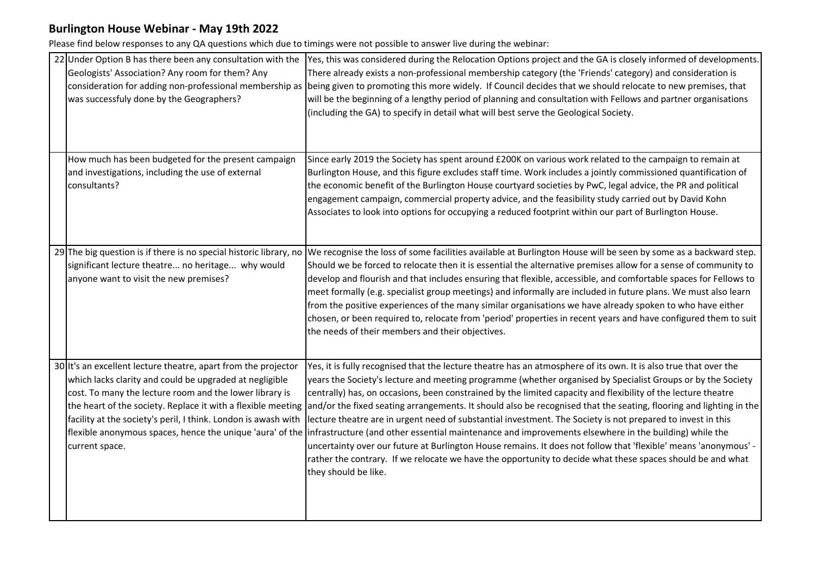| 22 Under Option B has there been any consultation with the     | Yes, this was considered during the Relocation Options project and the GA is closely informed of developments.                                                                     |
|----------------------------------------------------------------|------------------------------------------------------------------------------------------------------------------------------------------------------------------------------------|
| Geologists' Association? Any room for them? Any                | There already exists a non-professional membership category (the 'Friends' category) and consideration is                                                                          |
|                                                                | consideration for adding non-professional membership as being given to promoting this more widely. If Council decides that we should relocate to new premises, that                |
| was successfuly done by the Geographers?                       | will be the beginning of a lengthy period of planning and consultation with Fellows and partner organisations                                                                      |
|                                                                | (including the GA) to specify in detail what will best serve the Geological Society.                                                                                               |
|                                                                |                                                                                                                                                                                    |
|                                                                |                                                                                                                                                                                    |
| How much has been budgeted for the present campaign            | Since early 2019 the Society has spent around £200K on various work related to the campaign to remain at                                                                           |
| and investigations, including the use of external              | Burlington House, and this figure excludes staff time. Work includes a jointly commissioned quantification of                                                                      |
| consultants?                                                   | the economic benefit of the Burlington House courtyard societies by PwC, legal advice, the PR and political                                                                        |
|                                                                | engagement campaign, commercial property advice, and the feasibility study carried out by David Kohn                                                                               |
|                                                                | Associates to look into options for occupying a reduced footprint within our part of Burlington House.                                                                             |
|                                                                |                                                                                                                                                                                    |
|                                                                | 29 The big question is if there is no special historic library, no We recognise the loss of some facilities available at Burlington House will be seen by some as a backward step. |
| significant lecture theatre no heritage why would              | Should we be forced to relocate then it is essential the alternative premises allow for a sense of community to                                                                    |
| anyone want to visit the new premises?                         | develop and flourish and that includes ensuring that flexible, accessible, and comfortable spaces for Fellows to                                                                   |
|                                                                | meet formally (e.g. specialist group meetings) and informally are included in future plans. We must also learn                                                                     |
|                                                                | from the positive experiences of the many similar organisations we have already spoken to who have either                                                                          |
|                                                                | chosen, or been required to, relocate from 'period' properties in recent years and have configured them to suit                                                                    |
|                                                                | the needs of their members and their objectives.                                                                                                                                   |
|                                                                |                                                                                                                                                                                    |
| 30 It's an excellent lecture theatre, apart from the projector | Yes, it is fully recognised that the lecture theatre has an atmosphere of its own. It is also true that over the                                                                   |
| which lacks clarity and could be upgraded at negligible        | years the Society's lecture and meeting programme (whether organised by Specialist Groups or by the Society                                                                        |
| cost. To many the lecture room and the lower library is        | centrally) has, on occasions, been constrained by the limited capacity and flexibility of the lecture theatre                                                                      |
|                                                                | the heart of the society. Replace it with a flexible meeting and/or the fixed seating arrangements. It should also be recognised that the seating, flooring and lighting in the    |
| facility at the society's peril, I think. London is awash with | lecture theatre are in urgent need of substantial investment. The Society is not prepared to invest in this                                                                        |
|                                                                | flexible anonymous spaces, hence the unique 'aura' of the infrastructure (and other essential maintenance and improvements elsewhere in the building) while the                    |
| current space.                                                 | uncertainty over our future at Burlington House remains. It does not follow that 'flexible' means 'anonymous' -                                                                    |
|                                                                | rather the contrary. If we relocate we have the opportunity to decide what these spaces should be and what<br>they should be like.                                                 |
|                                                                |                                                                                                                                                                                    |
|                                                                |                                                                                                                                                                                    |
|                                                                |                                                                                                                                                                                    |